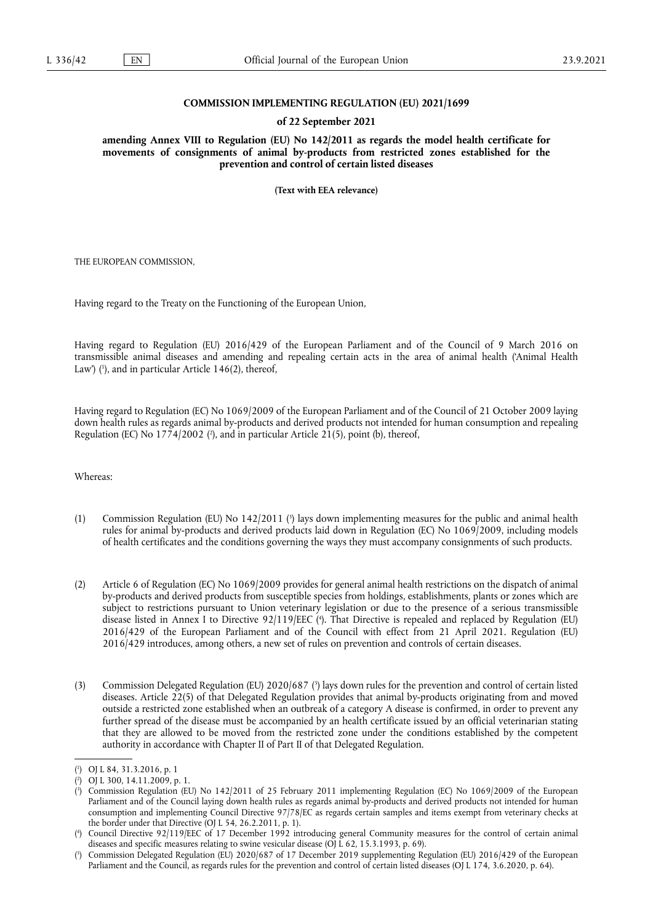### **COMMISSION IMPLEMENTING REGULATION (EU) 2021/1699**

### **of 22 September 2021**

**amending Annex VIII to Regulation (EU) No 142/2011 as regards the model health certificate for movements of consignments of animal by-products from restricted zones established for the prevention and control of certain listed diseases** 

**(Text with EEA relevance)** 

THE EUROPEAN COMMISSION,

Having regard to the Treaty on the Functioning of the European Union,

<span id="page-0-5"></span>Having regard to Regulation (EU) 2016/429 of the European Parliament and of the Council of 9 March 2016 on transmissible animal diseases and amending and repealing certain acts in the area of animal health ('Animal Health Law') ( 1 [\),](#page-0-0) and in particular Article 146(2), thereof,

<span id="page-0-6"></span>Having regard to Regulation (EC) No 1069/2009 of the European Parliament and of the Council of 21 October 2009 laying down health rules as regards animal by-products and derived products not intended for human consumption and repealing Regulation [\(](#page-0-1)EC) No 1774/2002 (?), and in particular Article 21(5), point (b), thereof,

Whereas:

- <span id="page-0-7"></span>(1) Commission Regulation (EU) No 142/2011 [\(](#page-0-2) 3 ) lays down implementing measures for the public and animal health rules for animal by-products and derived products laid down in Regulation (EC) No 1069/2009, including models of health certificates and the conditions governing the ways they must accompany consignments of such products.
- <span id="page-0-8"></span>(2) Article 6 of Regulation (EC) No 1069/2009 provides for general animal health restrictions on the dispatch of animal by-products and derived products from susceptible species from holdings, establishments, plants or zones which are subject to restrictions pursuant to Union veterinary legislation or due to the presence of a serious transmissible disease listed in Annex I to Directive 92/119/EEC ( 4 [\).](#page-0-3) That Directive is repealed and replaced by Regulation (EU) 2016/429 of the European Parliament and of the Council with effect from 21 April 2021. Regulation (EU) 2016/429 introduces, among others, a new set of rules on prevention and controls of certain diseases.
- <span id="page-0-9"></span>(3) Commission Delegated Regulation (EU) 2020/687 [\(](#page-0-4) 5 ) lays down rules for the prevention and control of certain listed diseases. Article 22(5) of that Delegated Regulation provides that animal by-products originating from and moved outside a restricted zone established when an outbreak of a category A disease is confirmed, in order to prevent any further spread of the disease must be accompanied by an health certificate issued by an official veterinarian stating that they are allowed to be moved from the restricted zone under the conditions established by the competent authority in accordance with Chapter II of Part II of that Delegated Regulation.

<span id="page-0-0"></span>[<sup>\(</sup>](#page-0-5) 1 ) OJ L 84, 31.3.2016, p. 1

<span id="page-0-1"></span><sup>(</sup> 2 [\)](#page-0-6) OJ L 300, 14.11.2009, p. 1.

<span id="page-0-2"></span>[<sup>\(</sup>](#page-0-7) 3 ) Commission Regulation (EU) No 142/2011 of 25 February 2011 implementing Regulation (EC) No 1069/2009 of the European Parliament and of the Council laying down health rules as regards animal by-products and derived products not intended for human consumption and implementing Council Directive 97/78/EC as regards certain samples and items exempt from veterinary checks at the border under that Directive (OJ L 54, 26.2.2011, p. 1).

<span id="page-0-3"></span>[<sup>\(</sup>](#page-0-8) 4 ) Council Directive 92/119/EEC of 17 December 1992 introducing general Community measures for the control of certain animal diseases and specific measures relating to swine vesicular disease (OJ L 62, 15.3.1993, p. 69).

<span id="page-0-4"></span>[<sup>\(</sup>](#page-0-9) 5 ) Commission Delegated Regulation (EU) 2020/687 of 17 December 2019 supplementing Regulation (EU) 2016/429 of the European Parliament and the Council, as regards rules for the prevention and control of certain listed diseases (OJ L 174, 3.6.2020, p. 64).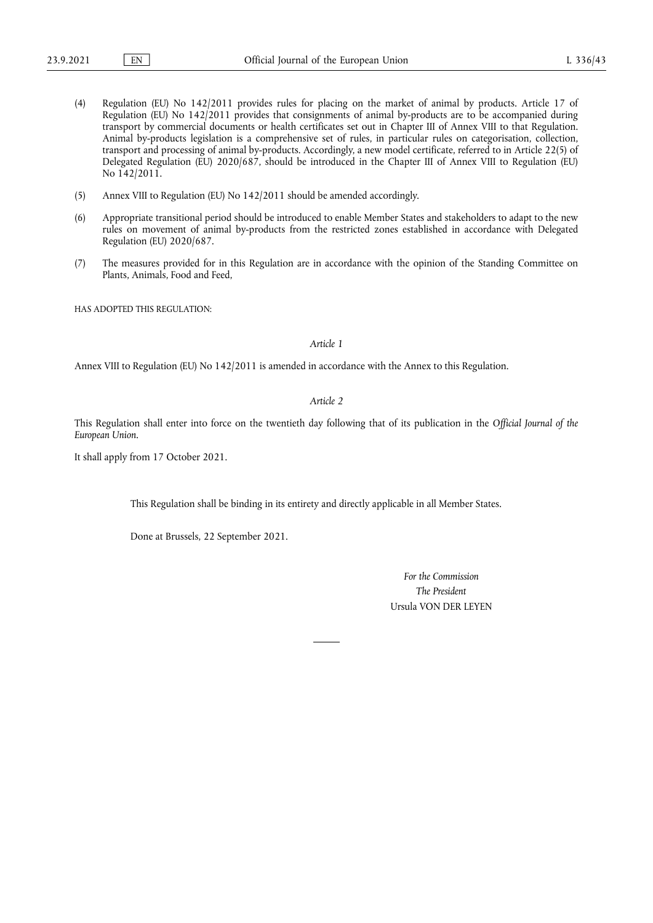- (4) Regulation (EU) No 142/2011 provides rules for placing on the market of animal by products. Article 17 of Regulation (EU) No 142/2011 provides that consignments of animal by-products are to be accompanied during transport by commercial documents or health certificates set out in Chapter III of Annex VIII to that Regulation. Animal by-products legislation is a comprehensive set of rules, in particular rules on categorisation, collection, transport and processing of animal by-products. Accordingly, a new model certificate, referred to in Article 22(5) of Delegated Regulation (EU) 2020/687, should be introduced in the Chapter III of Annex VIII to Regulation (EU) No 142/2011.
- (5) Annex VIII to Regulation (EU) No 142/2011 should be amended accordingly.
- (6) Appropriate transitional period should be introduced to enable Member States and stakeholders to adapt to the new rules on movement of animal by-products from the restricted zones established in accordance with Delegated Regulation (EU) 2020/687.
- (7) The measures provided for in this Regulation are in accordance with the opinion of the Standing Committee on Plants, Animals, Food and Feed,

HAS ADOPTED THIS REGULATION.

#### *Article 1*

Annex VIII to Regulation (EU) No 142/2011 is amended in accordance with the Annex to this Regulation.

# *Article 2*

This Regulation shall enter into force on the twentieth day following that of its publication in the *Official Journal of the European Union*.

It shall apply from 17 October 2021.

This Regulation shall be binding in its entirety and directly applicable in all Member States.

Done at Brussels, 22 September 2021.

*For the Commission The President* Ursula VON DER LEYEN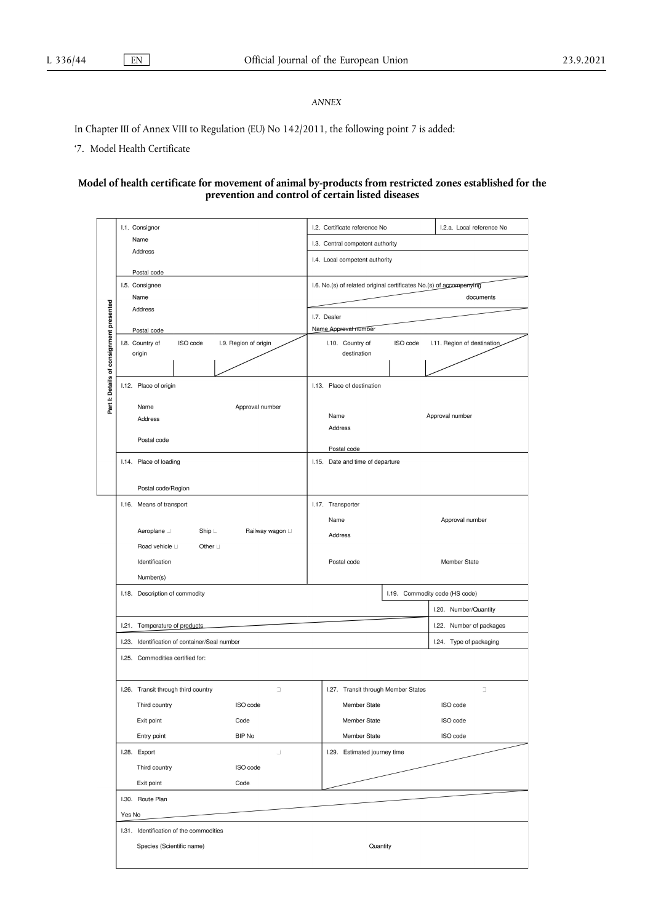# *ANNEX*

In Chapter III of Annex VIII to Regulation (EU) No 142/2011, the following point 7 is added:

'7. Model Health Certificate

### **Model of health certificate for movement of animal by-products from restricted zones established for the prevention and control of certain listed diseases**

|                                          | I.1. Consignor                                       | I.2. Certificate reference No<br>I.2.a. Local reference No          |  |  |  |  |  |
|------------------------------------------|------------------------------------------------------|---------------------------------------------------------------------|--|--|--|--|--|
|                                          | Name                                                 | I.3. Central competent authority                                    |  |  |  |  |  |
|                                          | Address                                              | I.4. Local competent authority                                      |  |  |  |  |  |
|                                          | Postal code                                          |                                                                     |  |  |  |  |  |
|                                          | I.5. Consignee                                       | I.6. No.(s) of related original certificates No.(s) of accompanying |  |  |  |  |  |
| Part I: Details of consignment presented | Name                                                 | documents                                                           |  |  |  |  |  |
|                                          | Address                                              | I.7. Dealer                                                         |  |  |  |  |  |
|                                          | Postal code                                          | Name Approval number                                                |  |  |  |  |  |
|                                          | I.8. Country of<br>ISO code<br>I.9. Region of origin | I.10. Country of<br>ISO code<br>I.11. Region of destination         |  |  |  |  |  |
|                                          | origin                                               | destination                                                         |  |  |  |  |  |
|                                          |                                                      |                                                                     |  |  |  |  |  |
|                                          | I.12. Place of origin                                | I.13. Place of destination                                          |  |  |  |  |  |
|                                          |                                                      |                                                                     |  |  |  |  |  |
|                                          | Name<br>Approval number                              | Name<br>Approval number                                             |  |  |  |  |  |
|                                          | Address                                              | Address                                                             |  |  |  |  |  |
|                                          | Postal code                                          |                                                                     |  |  |  |  |  |
|                                          |                                                      | Postal code                                                         |  |  |  |  |  |
|                                          | I.14. Place of loading                               | I.15. Date and time of departure                                    |  |  |  |  |  |
|                                          |                                                      |                                                                     |  |  |  |  |  |
|                                          | Postal code/Region                                   |                                                                     |  |  |  |  |  |
|                                          | I.16. Means of transport                             | I.17. Transporter                                                   |  |  |  |  |  |
|                                          |                                                      | Name<br>Approval number                                             |  |  |  |  |  |
|                                          | Aeroplane _<br>Railway wagon ⊔<br>$Ship \perp$       | Address                                                             |  |  |  |  |  |
|                                          | Road vehicle Li<br>Other $\sqcup$                    |                                                                     |  |  |  |  |  |
|                                          | Identification                                       | Postal code<br>Member State                                         |  |  |  |  |  |
|                                          | Number(s)                                            |                                                                     |  |  |  |  |  |
|                                          | I.18. Description of commodity                       | I.19. Commodity code (HS code)                                      |  |  |  |  |  |
|                                          |                                                      | I.20. Number/Quantity                                               |  |  |  |  |  |
|                                          | I.21. Temperature of products                        | I.22. Number of packages                                            |  |  |  |  |  |
|                                          | I.23. Identification of container/Seal number        | I.24. Type of packaging                                             |  |  |  |  |  |
|                                          | I.25. Commodities certified for:                     |                                                                     |  |  |  |  |  |
|                                          |                                                      |                                                                     |  |  |  |  |  |
|                                          | I.26. Transit through third country<br>$\Box$        | I.27. Transit through Member States<br>O                            |  |  |  |  |  |
|                                          | ISO code<br>Third country                            | ISO code<br>Member State                                            |  |  |  |  |  |
|                                          | Exit point<br>Code                                   | Member State<br>ISO code                                            |  |  |  |  |  |
|                                          | Entry point<br>BIP No                                | Member State<br>ISO code                                            |  |  |  |  |  |
|                                          | I.28. Export<br>$\perp$                              | I.29. Estimated journey time                                        |  |  |  |  |  |
|                                          | Third country<br>ISO code                            |                                                                     |  |  |  |  |  |
|                                          | Exit point<br>Code                                   |                                                                     |  |  |  |  |  |
|                                          | I.30. Route Plan                                     |                                                                     |  |  |  |  |  |
| Yes No                                   |                                                      |                                                                     |  |  |  |  |  |
|                                          | I.31. Identification of the commodities              |                                                                     |  |  |  |  |  |
|                                          | Species (Scientific name)<br>Quantity                |                                                                     |  |  |  |  |  |
|                                          |                                                      |                                                                     |  |  |  |  |  |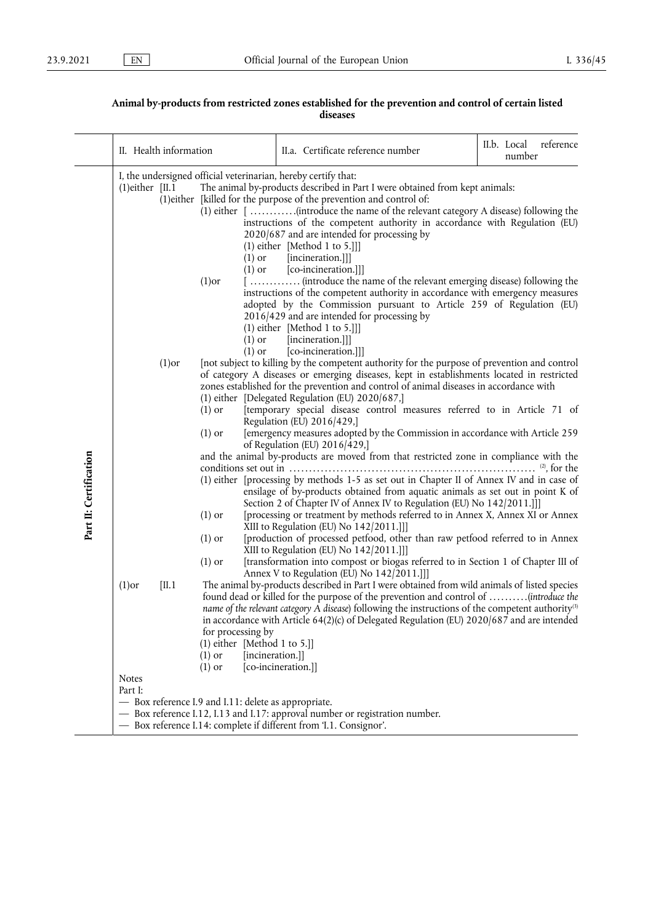## **Animal by-products from restricted zones established for the prevention and control of certain listed diseases**

|                        | II. Health information                                                                                                                             |                                                                                                                                                                                                                                                                                                                                                                                                                                   | II.a. Certificate reference number                                                                                                                                                                                                                                                                                                                                                                                                                                                                                         | II.b. Local reference<br>number |  |
|------------------------|----------------------------------------------------------------------------------------------------------------------------------------------------|-----------------------------------------------------------------------------------------------------------------------------------------------------------------------------------------------------------------------------------------------------------------------------------------------------------------------------------------------------------------------------------------------------------------------------------|----------------------------------------------------------------------------------------------------------------------------------------------------------------------------------------------------------------------------------------------------------------------------------------------------------------------------------------------------------------------------------------------------------------------------------------------------------------------------------------------------------------------------|---------------------------------|--|
|                        | $(1)$ either [II.1]                                                                                                                                | I, the undersigned official veterinarian, hereby certify that:<br>$(1)$ or<br>$(1)$ or<br>$(1)$ or                                                                                                                                                                                                                                                                                                                                | The animal by-products described in Part I were obtained from kept animals:<br>(1) either [killed for the purpose of the prevention and control of:<br>instructions of the competent authority in accordance with Regulation (EU)<br>2020/687 and are intended for processing by<br>$(1)$ either [Method 1 to 5.]]]<br>[incineration.]]]<br>[co-incineration.]]]<br>[ (introduce the name of the relevant emerging disease) following the<br>instructions of the competent authority in accordance with emergency measures |                                 |  |
|                        | $(1)$ or<br>$(1)$ or<br>$(1)$ or                                                                                                                   | adopted by the Commission pursuant to Article 259 of Regulation (EU)<br>2016/429 and are intended for processing by<br>$(1)$ either [Method 1 to 5.]]]<br>[incineration.]]]<br>[co-incineration.]]]<br>[not subject to killing by the competent authority for the purpose of prevention and control                                                                                                                               |                                                                                                                                                                                                                                                                                                                                                                                                                                                                                                                            |                                 |  |
|                        | $(1)$ or<br>$(1)$ or                                                                                                                               | of category A diseases or emerging diseases, kept in establishments located in restricted<br>zones established for the prevention and control of animal diseases in accordance with<br>(1) either [Delegated Regulation (EU) 2020/687,]<br>[temporary special disease control measures referred to in Article 71 of<br>Regulation (EU) 2016/429,]<br>[emergency measures adopted by the Commission in accordance with Article 259 |                                                                                                                                                                                                                                                                                                                                                                                                                                                                                                                            |                                 |  |
| Part II: Certification |                                                                                                                                                    |                                                                                                                                                                                                                                                                                                                                                                                                                                   | of Regulation (EU) $2016/429$ ,<br>and the animal by-products are moved from that restricted zone in compliance with the<br>(1) either [processing by methods 1-5 as set out in Chapter II of Annex IV and in case of<br>ensilage of by-products obtained from aquatic animals as set out in point K of<br>Section 2 of Chapter IV of Annex IV to Regulation (EU) No 142/2011.]]                                                                                                                                           |                                 |  |
|                        | $(1)$ or<br>$(1)$ or<br>$(1)$ or                                                                                                                   | [processing or treatment by methods referred to in Annex X, Annex XI or Annex<br>XIII to Regulation (EU) No 142/2011.]]<br>[production of processed petfood, other than raw petfood referred to in Annex<br>XIII to Regulation (EU) No 142/2011.]]]<br>[transformation into compost or biogas referred to in Section 1 of Chapter III of                                                                                          |                                                                                                                                                                                                                                                                                                                                                                                                                                                                                                                            |                                 |  |
|                        | [II.1]<br>$(1)$ or                                                                                                                                 | for processing by<br>(1) either [Method 1 to 5.]]<br>[incineration.]]<br>$(1)$ or<br>$(1)$ or                                                                                                                                                                                                                                                                                                                                     | Annex V to Regulation (EU) No 142/2011.]]]<br>The animal by-products described in Part I were obtained from wild animals of listed species<br>found dead or killed for the purpose of the prevention and control of (introduce the<br>name of the relevant category A disease) following the instructions of the competent authority <sup>(3)</sup><br>in accordance with Article 64(2)(c) of Delegated Regulation (EU) 2020/687 and are intended<br>[co-incineration.]]                                                   |                                 |  |
|                        | <b>Notes</b><br>Part I:                                                                                                                            | - Box reference I.9 and I.11: delete as appropriate.                                                                                                                                                                                                                                                                                                                                                                              |                                                                                                                                                                                                                                                                                                                                                                                                                                                                                                                            |                                 |  |
|                        | - Box reference I.12, I.13 and I.17: approval number or registration number.<br>- Box reference I.14: complete if different from 'I.1. Consignor'. |                                                                                                                                                                                                                                                                                                                                                                                                                                   |                                                                                                                                                                                                                                                                                                                                                                                                                                                                                                                            |                                 |  |